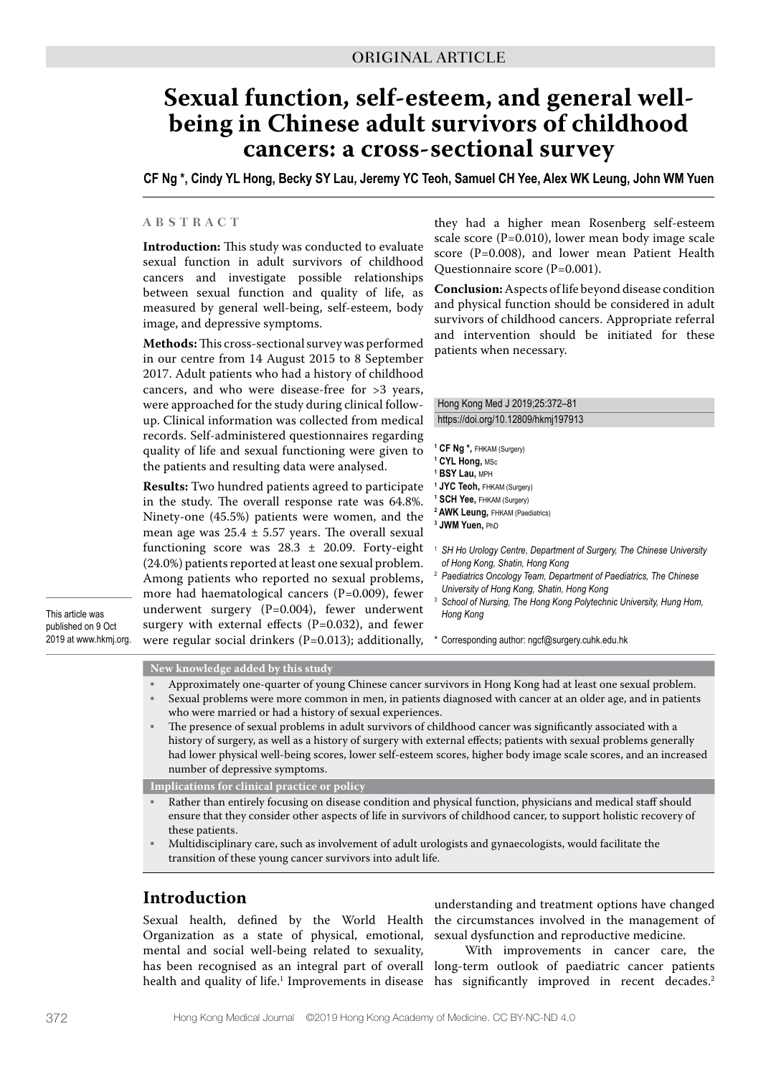# **Sexual function, self-esteem, and general wellbeing in Chinese adult survivors of childhood cancers: a cross-sectional survey**

**CF Ng \*, Cindy YL Hong, Becky SY Lau, Jeremy YC Teoh, Samuel CH Yee, Alex WK Leung, John WM Yuen**

# **A B S T R A C T**

**Introduction:** This study was conducted to evaluate sexual function in adult survivors of childhood cancers and investigate possible relationships between sexual function and quality of life, as measured by general well-being, self-esteem, body image, and depressive symptoms.

**Methods:** This cross-sectional survey was performed in our centre from 14 August 2015 to 8 September 2017. Adult patients who had a history of childhood cancers, and who were disease-free for >3 years, were approached for the study during clinical followup. Clinical information was collected from medical records. Self-administered questionnaires regarding quality of life and sexual functioning were given to the patients and resulting data were analysed.

**Results:** Two hundred patients agreed to participate in the study. The overall response rate was 64.8%. Ninety-one (45.5%) patients were women, and the mean age was  $25.4 \pm 5.57$  years. The overall sexual functioning score was 28.3 ± 20.09. Forty-eight (24.0%) patients reported at least one sexual problem. Among patients who reported no sexual problems, more had haematological cancers (P=0.009), fewer underwent surgery (P=0.004), fewer underwent surgery with external effects  $(P=0.032)$ , and fewer were regular social drinkers (P=0.013); additionally,

This article was published on 9 Oct 2019 at www.hkmj.org. they had a higher mean Rosenberg self-esteem scale score (P=0.010), lower mean body image scale score (P=0.008), and lower mean Patient Health Questionnaire score (P=0.001).

**Conclusion:** Aspects of life beyond disease condition and physical function should be considered in adult survivors of childhood cancers. Appropriate referral and intervention should be initiated for these patients when necessary.

#### Hong Kong Med J 2019;25:372–81 https://doi.org/10.12809/hkmj197913

**1 CF Ng \*,** FHKAM (Surgery) **1 CYL Hong,** MSc

- **1 BSY Lau,** MPH
- **1 JYC Teoh,** FHKAM (Surgery)
- **1 SCH Yee,** FHKAM (Surgery)
- **2 AWK Leung,** FHKAM (Paediatrics)
- **3 JWM Yuen,** PhD
- <sup>1</sup> *SH Ho Urology Centre, Department of Surgery, The Chinese University of Hong Kong, Shatin, Hong Kong*
- <sup>2</sup> *Paediatrics Oncology Team, Department of Paediatrics, The Chinese University of Hong Kong, Shatin, Hong Kong*
- <sup>3</sup> School of Nursing, The Hong Kong Polytechnic University, Hung Hom, *Hong Kong*

\* Corresponding author: ngcf@surgery.cuhk.edu.hk

#### **New knowledge added by this study**

- Approximately one-quarter of young Chinese cancer survivors in Hong Kong had at least one sexual problem.
- Sexual problems were more common in men, in patients diagnosed with cancer at an older age, and in patients who were married or had a history of sexual experiences.
- The presence of sexual problems in adult survivors of childhood cancer was significantly associated with a history of surgery, as well as a history of surgery with external effects; patients with sexual problems generally had lower physical well-being scores, lower self-esteem scores, higher body image scale scores, and an increased number of depressive symptoms.

**Implications for clinical practice or policy**

- Rather than entirely focusing on disease condition and physical function, physicians and medical staff should ensure that they consider other aspects of life in survivors of childhood cancer, to support holistic recovery of these patients.
- Multidisciplinary care, such as involvement of adult urologists and gynaecologists, would facilitate the transition of these young cancer survivors into adult life.

# **Introduction**

Sexual health, defined by the World Health Organization as a state of physical, emotional, mental and social well-being related to sexuality, health and quality of life.1 Improvements in disease

understanding and treatment options have changed the circumstances involved in the management of sexual dysfunction and reproductive medicine.

has been recognised as an integral part of overall long-term outlook of paediatric cancer patients With improvements in cancer care, the has significantly improved in recent decades.<sup>2</sup>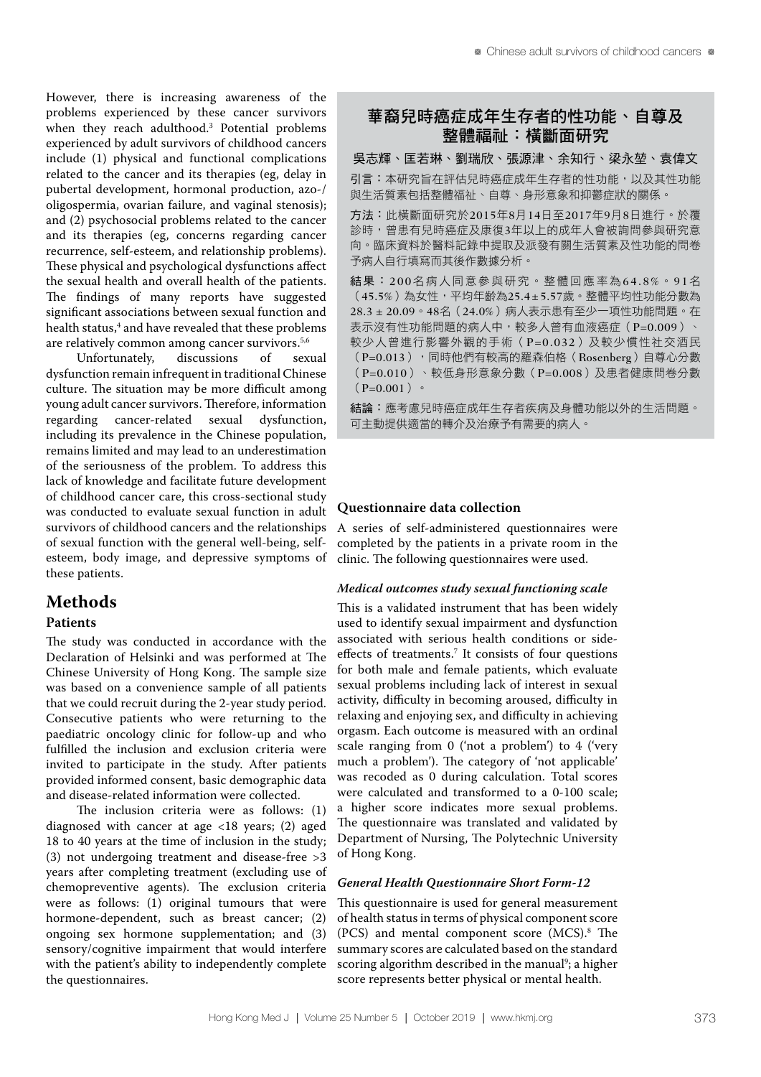However, there is increasing awareness of the problems experienced by these cancer survivors when they reach adulthood.3 Potential problems experienced by adult survivors of childhood cancers include (1) physical and functional complications related to the cancer and its therapies (eg, delay in pubertal development, hormonal production, azo-/ oligospermia, ovarian failure, and vaginal stenosis); and (2) psychosocial problems related to the cancer and its therapies (eg, concerns regarding cancer recurrence, self-esteem, and relationship problems). These physical and psychological dysfunctions affect the sexual health and overall health of the patients. The findings of many reports have suggested significant associations between sexual function and health status,<sup>4</sup> and have revealed that these problems are relatively common among cancer survivors.<sup>5,6</sup><br>Unfortunately, discussions of sex

Unfortunately, discussions of sexual dysfunction remain infrequent in traditional Chinese culture. The situation may be more difficult among young adult cancer survivors. Therefore, information regarding cancer-related sexual dysfunction, including its prevalence in the Chinese population, remains limited and may lead to an underestimation of the seriousness of the problem. To address this lack of knowledge and facilitate future development of childhood cancer care, this cross-sectional study was conducted to evaluate sexual function in adult survivors of childhood cancers and the relationships of sexual function with the general well-being, selfesteem, body image, and depressive symptoms of these patients.

# **Methods**

# **Patients**

The study was conducted in accordance with the Declaration of Helsinki and was performed at The Chinese University of Hong Kong. The sample size was based on a convenience sample of all patients that we could recruit during the 2-year study period. Consecutive patients who were returning to the paediatric oncology clinic for follow-up and who fulfilled the inclusion and exclusion criteria were invited to participate in the study. After patients provided informed consent, basic demographic data and disease-related information were collected.

The inclusion criteria were as follows: (1) diagnosed with cancer at age <18 years; (2) aged 18 to 40 years at the time of inclusion in the study; (3) not undergoing treatment and disease-free >3 years after completing treatment (excluding use of chemopreventive agents). The exclusion criteria were as follows: (1) original tumours that were hormone-dependent, such as breast cancer; (2) ongoing sex hormone supplementation; and (3) sensory/cognitive impairment that would interfere with the patient's ability to independently complete the questionnaires.

# 華裔兒時癌症成年生存者的性功能、自尊及 整體福祉:橫斷面研究

吳志輝、匡若琳、劉瑞欣、張源津、余知行、梁永堃、袁偉文 引言:本研究旨在評估兒時癌症成年生存者的性功能,以及其性功能 與生活質素包括整體福祉、自尊、身形意象和抑鬱症狀的關係。

方法:此橫斷面研究於2015年8月14日至2017年9月8日進行。於覆 診時,曾患有兒時癌症及康復3年以上的成年人會被詢問參與研究意 向。臨床資料於醫料記錄中提取及派發有關生活質素及性功能的問卷 予病人自行填寫而其後作數據分析。

結果:200名病人同意參與研究。整體回應率為64.8%。91名 (45.5%)為女性,平均年齡為25.4 ± 5.57歲。整體平均性功能分數為 28.3 ± 20.09。48名(24.0%)病人表示患有至少一項性功能問題。在 表示沒有性功能問題的病人中,較多人曾有血液癌症 (P=0.009)、 較少人曾進行影響外觀的手術(P=0.032)及較少慣性社交酒民 (P=0.013),同時他們有較高的羅森伯格(Rosenberg)自尊心分數 (P=0.010)、較低身形意象分數(P=0.008)及患者健康問卷分數  $(P=0.001)$   $\circ$ 

結論:應考慮兒時癌症成年生存者疾病及身體功能以外的生活問題。 可主動提供適當的轉介及治療予有需要的病人。

## **Questionnaire data collection**

A series of self-administered questionnaires were completed by the patients in a private room in the clinic. The following questionnaires were used.

#### *Medical outcomes study sexual functioning scale*

This is a validated instrument that has been widely used to identify sexual impairment and dysfunction associated with serious health conditions or sideeffects of treatments.<sup>7</sup> It consists of four questions for both male and female patients, which evaluate sexual problems including lack of interest in sexual activity, difficulty in becoming aroused, difficulty in relaxing and enjoying sex, and difficulty in achieving orgasm. Each outcome is measured with an ordinal scale ranging from 0 ('not a problem') to 4 ('very much a problem'). The category of 'not applicable' was recoded as 0 during calculation. Total scores were calculated and transformed to a 0-100 scale; a higher score indicates more sexual problems. The questionnaire was translated and validated by Department of Nursing, The Polytechnic University of Hong Kong.

## *General Health Questionnaire Short Form-12*

This questionnaire is used for general measurement of health status in terms of physical component score (PCS) and mental component score (MCS).8 The summary scores are calculated based on the standard scoring algorithm described in the manual<sup>9</sup>; a higher score represents better physical or mental health.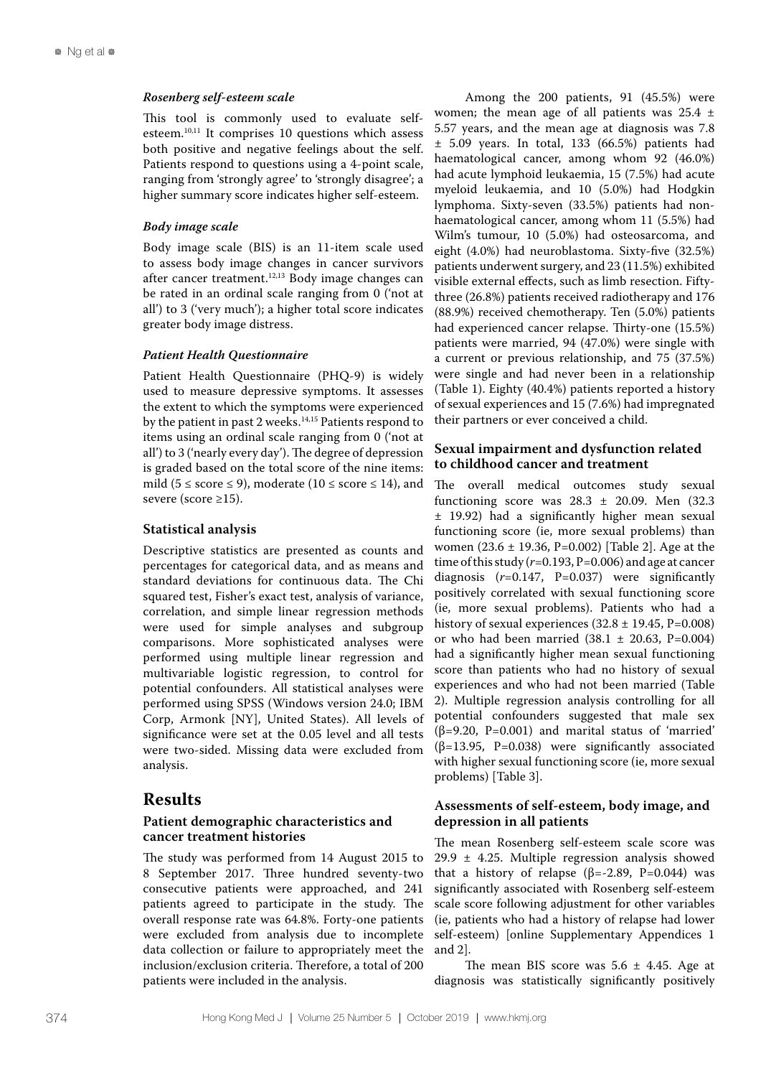#### *Rosenberg self-esteem scale*

This tool is commonly used to evaluate selfesteem.10,11 It comprises 10 questions which assess both positive and negative feelings about the self. Patients respond to questions using a 4-point scale, ranging from 'strongly agree' to 'strongly disagree'; a higher summary score indicates higher self-esteem.

# *Body image scale*

Body image scale (BIS) is an 11-item scale used to assess body image changes in cancer survivors after cancer treatment.<sup>12,13</sup> Body image changes can be rated in an ordinal scale ranging from 0 ('not at all') to 3 ('very much'); a higher total score indicates greater body image distress.

# *Patient Health Questionnaire*

Patient Health Questionnaire (PHQ-9) is widely used to measure depressive symptoms. It assesses the extent to which the symptoms were experienced by the patient in past 2 weeks.<sup>14,15</sup> Patients respond to items using an ordinal scale ranging from 0 ('not at all') to 3 ('nearly every day'). The degree of depression is graded based on the total score of the nine items: mild ( $5 \leq$  score  $\leq$  9), moderate ( $10 \leq$  score  $\leq$  14), and severe (score ≥15).

# **Statistical analysis**

Descriptive statistics are presented as counts and percentages for categorical data, and as means and standard deviations for continuous data. The Chi squared test, Fisher's exact test, analysis of variance, correlation, and simple linear regression methods were used for simple analyses and subgroup comparisons. More sophisticated analyses were performed using multiple linear regression and multivariable logistic regression, to control for potential confounders. All statistical analyses were performed using SPSS (Windows version 24.0; IBM Corp, Armonk [NY], United States). All levels of significance were set at the 0.05 level and all tests were two-sided. Missing data were excluded from analysis.

# **Results**

# **Patient demographic characteristics and cancer treatment histories**

The study was performed from 14 August 2015 to 8 September 2017. Three hundred seventy-two consecutive patients were approached, and 241 patients agreed to participate in the study. The overall response rate was 64.8%. Forty-one patients were excluded from analysis due to incomplete data collection or failure to appropriately meet the inclusion/exclusion criteria. Therefore, a total of 200 patients were included in the analysis.

Among the 200 patients, 91 (45.5%) were women; the mean age of all patients was  $25.4 \pm$ 5.57 years, and the mean age at diagnosis was 7.8 ± 5.09 years. In total, 133 (66.5%) patients had haematological cancer, among whom 92 (46.0%) had acute lymphoid leukaemia, 15 (7.5%) had acute myeloid leukaemia, and 10 (5.0%) had Hodgkin lymphoma. Sixty-seven (33.5%) patients had nonhaematological cancer, among whom 11 (5.5%) had Wilm's tumour, 10 (5.0%) had osteosarcoma, and eight (4.0%) had neuroblastoma. Sixty-five (32.5%) patients underwent surgery, and 23 (11.5%) exhibited visible external effects, such as limb resection. Fiftythree (26.8%) patients received radiotherapy and 176 (88.9%) received chemotherapy. Ten (5.0%) patients had experienced cancer relapse. Thirty-one (15.5%) patients were married, 94 (47.0%) were single with a current or previous relationship, and 75 (37.5%) were single and had never been in a relationship (Table 1). Eighty (40.4%) patients reported a history of sexual experiences and 15 (7.6%) had impregnated their partners or ever conceived a child.

# **Sexual impairment and dysfunction related to childhood cancer and treatment**

The overall medical outcomes study sexual functioning score was  $28.3 \pm 20.09$ . Men (32.3) ± 19.92) had a significantly higher mean sexual functioning score (ie, more sexual problems) than women (23.6 ± 19.36, P=0.002) [Table 2]. Age at the time of this study  $(r=0.193, P=0.006)$  and age at cancer diagnosis  $(r=0.147, P=0.037)$  were significantly positively correlated with sexual functioning score (ie, more sexual problems). Patients who had a history of sexual experiences  $(32.8 \pm 19.45, P=0.008)$ or who had been married  $(38.1 \pm 20.63, P=0.004)$ had a significantly higher mean sexual functioning score than patients who had no history of sexual experiences and who had not been married (Table 2). Multiple regression analysis controlling for all potential confounders suggested that male sex ( $\beta$ =9.20, P=0.001) and marital status of 'married' (β=13.95, P=0.038) were significantly associated with higher sexual functioning score (ie, more sexual problems) [Table 3].

# **Assessments of self-esteem, body image, and depression in all patients**

The mean Rosenberg self-esteem scale score was 29.9 ± 4.25. Multiple regression analysis showed that a history of relapse ( $β = -2.89$ ,  $P = 0.044$ ) was significantly associated with Rosenberg self-esteem scale score following adjustment for other variables (ie, patients who had a history of relapse had lower self-esteem) [online Supplementary Appendices 1 and 2].

The mean BIS score was  $5.6 \pm 4.45$ . Age at diagnosis was statistically significantly positively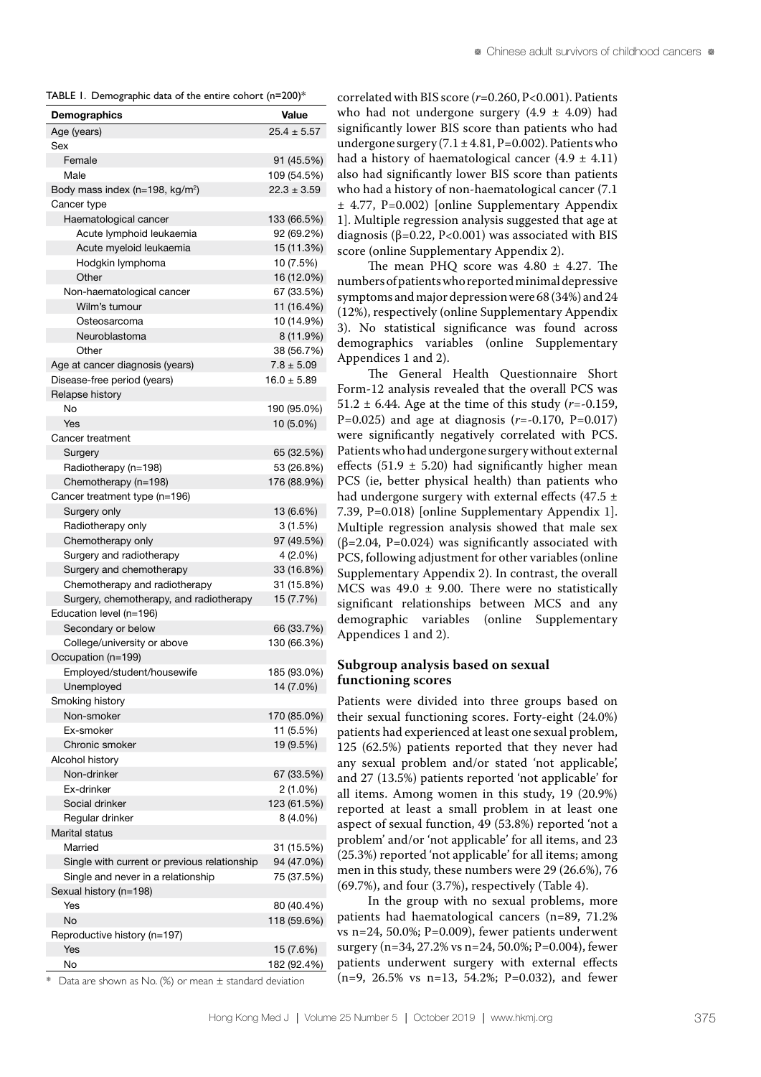TABLE 1. Demographic data of the entire cohort (n=200)\*

| Demographics                                    | Value           |
|-------------------------------------------------|-----------------|
| Age (years)                                     | $25.4 \pm 5.57$ |
| Sex                                             |                 |
| Female                                          | 91 (45.5%)      |
| Male                                            | 109 (54.5%)     |
| Body mass index ( $n=198$ , kg/m <sup>2</sup> ) | $22.3 \pm 3.59$ |
| Cancer type                                     |                 |
| Haematological cancer                           | 133 (66.5%)     |
| Acute lymphoid leukaemia                        | 92 (69.2%)      |
| Acute myeloid leukaemia                         | 15 (11.3%)      |
| Hodgkin lymphoma                                | 10 (7.5%)       |
| Other                                           | 16 (12.0%)      |
| Non-haematological cancer                       | 67 (33.5%)      |
| Wilm's tumour                                   | 11 (16.4%)      |
| Osteosarcoma                                    | 10 (14.9%)      |
| Neuroblastoma                                   | 8 (11.9%)       |
| Other                                           | 38 (56.7%)      |
| Age at cancer diagnosis (years)                 | $7.8 \pm 5.09$  |
|                                                 | $16.0 \pm 5.89$ |
| Disease-free period (years)                     |                 |
| Relapse history<br>No                           |                 |
| <b>Yes</b>                                      | 190 (95.0%)     |
|                                                 | 10 (5.0%)       |
| Cancer treatment                                |                 |
| Surgery                                         | 65 (32.5%)      |
| Radiotherapy (n=198)                            | 53 (26.8%)      |
| Chemotherapy (n=198)                            | 176 (88.9%)     |
| Cancer treatment type (n=196)                   |                 |
| Surgery only                                    | 13 (6.6%)       |
| Radiotherapy only                               | 3(1.5%)         |
| Chemotherapy only                               | 97 (49.5%)      |
| Surgery and radiotherapy                        | 4 (2.0%)        |
| Surgery and chemotherapy                        | 33 (16.8%)      |
| Chemotherapy and radiotherapy                   | 31 (15.8%)      |
| Surgery, chemotherapy, and radiotherapy         | 15 (7.7%)       |
| Education level (n=196)                         |                 |
| Secondary or below                              | 66 (33.7%)      |
| College/university or above                     | 130 (66.3%)     |
| Occupation (n=199)                              |                 |
| Employed/student/housewife                      | 185 (93.0%)     |
| Unemployed                                      | 14 (7.0%)       |
| Smoking history                                 |                 |
| Non-smoker                                      | 170 (85.0%)     |
| Ex-smoker                                       | 11 (5.5%)       |
| Chronic smoker                                  | 19 (9.5%)       |
| Alcohol history                                 |                 |
| Non-drinker                                     | 67 (33.5%)      |
| Ex-drinker                                      | $2(1.0\%)$      |
| Social drinker                                  | 123 (61.5%)     |
| Regular drinker                                 | 8 (4.0%)        |
| Marital status                                  |                 |
| Married                                         | 31 (15.5%)      |
| Single with current or previous relationship    | 94 (47.0%)      |
| Single and never in a relationship              | 75 (37.5%)      |
| Sexual history (n=198)                          |                 |
|                                                 |                 |
| Yes                                             | 80 (40.4%)      |
| No                                              | 118 (59.6%)     |
| Reproductive history (n=197)                    |                 |
| Yes                                             | 15 (7.6%)       |
| No                                              | 182 (92.4%)     |

correlated with BIS score (*r*=0.260, P<0.001). Patients who had not undergone surgery  $(4.9 \pm 4.09)$  had significantly lower BIS score than patients who had undergone surgery  $(7.1 \pm 4.81, P=0.002)$ . Patients who had a history of haematological cancer  $(4.9 \pm 4.11)$ also had significantly lower BIS score than patients who had a history of non-haematological cancer (7.1 ± 4.77, P=0.002) [online Supplementary Appendix 1]. Multiple regression analysis suggested that age at diagnosis ( $\beta$ =0.22, P<0.001) was associated with BIS score (online Supplementary Appendix 2).

The mean PHO score was  $4.80 \pm 4.27$ . The numbers of patients who reported minimal depressive symptoms and major depression were 68 (34%) and 24 (12%), respectively (online Supplementary Appendix 3). No statistical significance was found across demographics variables (online Supplementary Appendices 1 and 2).

The General Health Questionnaire Short Form-12 analysis revealed that the overall PCS was 51.2  $\pm$  6.44. Age at the time of this study ( $r = -0.159$ , P=0.025) and age at diagnosis (*r*=-0.170, P=0.017) were significantly negatively correlated with PCS. Patients who had undergone surgery without external effects (51.9  $\pm$  5.20) had significantly higher mean PCS (ie, better physical health) than patients who had undergone surgery with external effects (47.5  $\pm$ 7.39, P=0.018) [online Supplementary Appendix 1]. Multiple regression analysis showed that male sex  $(\beta=2.04, P=0.024)$  was significantly associated with PCS, following adjustment for other variables (online Supplementary Appendix 2). In contrast, the overall MCS was  $49.0 \pm 9.00$ . There were no statistically significant relationships between MCS and any demographic variables (online Supplementary Appendices 1 and 2).

# **Subgroup analysis based on sexual functioning scores**

Patients were divided into three groups based on their sexual functioning scores. Forty-eight (24.0%) patients had experienced at least one sexual problem, 125 (62.5%) patients reported that they never had any sexual problem and/or stated 'not applicable', and 27 (13.5%) patients reported 'not applicable' for all items. Among women in this study, 19 (20.9%) reported at least a small problem in at least one aspect of sexual function, 49 (53.8%) reported 'not a problem' and/or 'not applicable' for all items, and 23 (25.3%) reported 'not applicable' for all items; among men in this study, these numbers were 29 (26.6%), 76 (69.7%), and four (3.7%), respectively (Table 4).

In the group with no sexual problems, more patients had haematological cancers (n=89, 71.2% vs n=24, 50.0%; P=0.009), fewer patients underwent surgery (n=34, 27.2% vs n=24, 50.0%; P=0.004), fewer patients underwent surgery with external effects (n=9, 26.5% vs n=13, 54.2%; P=0.032), and fewer

\* Data are shown as No. (%) or mean ± standard deviation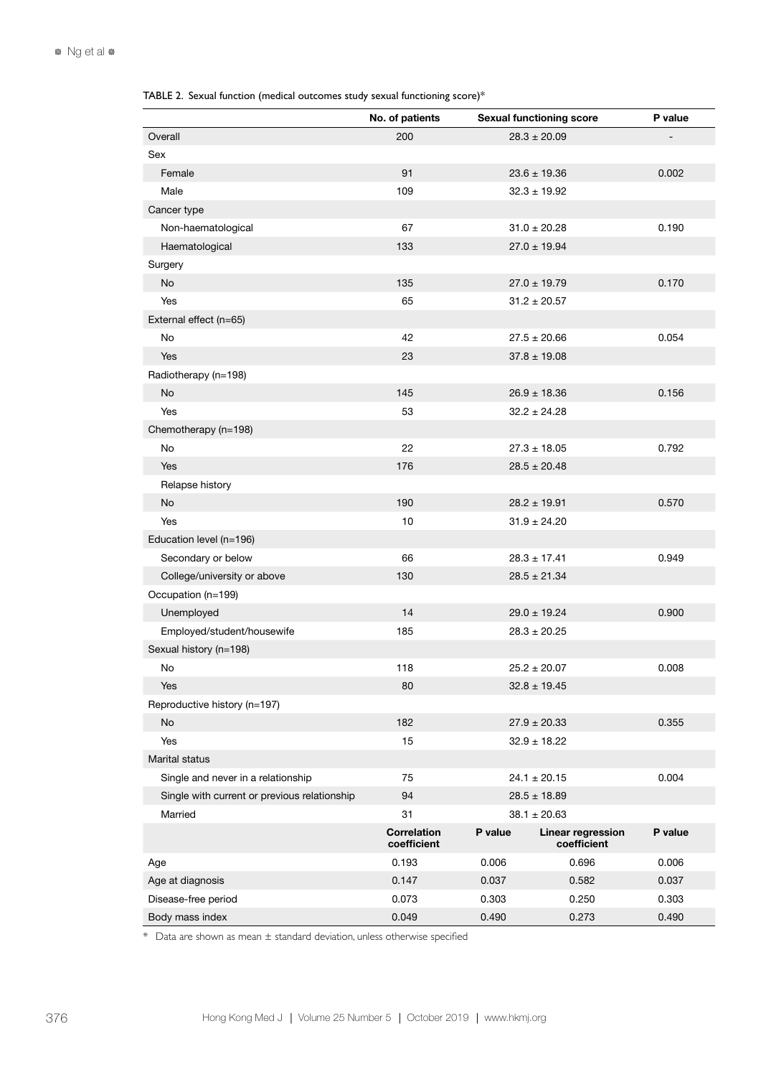TABLE 2. Sexual function (medical outcomes study sexual functioning score)\*

|                                              | No. of patients                   |                  | <b>Sexual functioning score</b>  | P value |
|----------------------------------------------|-----------------------------------|------------------|----------------------------------|---------|
| Overall                                      | 200                               |                  | $28.3 \pm 20.09$                 |         |
| Sex                                          |                                   |                  |                                  |         |
| Female                                       | 91                                |                  | $23.6 \pm 19.36$                 | 0.002   |
| Male                                         | 109                               |                  | $32.3 \pm 19.92$                 |         |
| Cancer type                                  |                                   |                  |                                  |         |
| Non-haematological                           | 67                                |                  | $31.0 \pm 20.28$                 | 0.190   |
| Haematological                               | 133                               |                  | $27.0 \pm 19.94$                 |         |
| Surgery                                      |                                   |                  |                                  |         |
| <b>No</b>                                    | 135                               |                  | $27.0 \pm 19.79$                 | 0.170   |
| Yes                                          | 65                                |                  | $31.2 \pm 20.57$                 |         |
| External effect (n=65)                       |                                   |                  |                                  |         |
| No                                           | 42                                |                  | $27.5 \pm 20.66$                 | 0.054   |
| Yes                                          | 23                                |                  | $37.8 \pm 19.08$                 |         |
| Radiotherapy (n=198)                         |                                   |                  |                                  |         |
| <b>No</b>                                    | 145                               |                  | $26.9 \pm 18.36$                 | 0.156   |
| Yes                                          | 53                                |                  | $32.2 \pm 24.28$                 |         |
| Chemotherapy (n=198)                         |                                   |                  |                                  |         |
| No                                           | 22                                |                  | $27.3 \pm 18.05$                 | 0.792   |
| Yes                                          | 176                               |                  | $28.5 \pm 20.48$                 |         |
| Relapse history                              |                                   |                  |                                  |         |
| <b>No</b>                                    | 190                               |                  | $28.2 \pm 19.91$                 | 0.570   |
| Yes                                          | 10                                |                  | $31.9 \pm 24.20$                 |         |
| Education level (n=196)                      |                                   |                  |                                  |         |
| Secondary or below                           | 66                                |                  | $28.3 \pm 17.41$                 | 0.949   |
| College/university or above                  | 130                               |                  | $28.5 \pm 21.34$                 |         |
| Occupation (n=199)                           |                                   |                  |                                  |         |
| Unemployed                                   | 14                                |                  | $29.0 \pm 19.24$                 | 0.900   |
| Employed/student/housewife                   | 185                               | $28.3 \pm 20.25$ |                                  |         |
| Sexual history (n=198)                       |                                   |                  |                                  |         |
| No                                           | 118                               |                  | $25.2 \pm 20.07$                 | 0.008   |
| Yes                                          | 80                                |                  | $32.8 \pm 19.45$                 |         |
| Reproductive history (n=197)                 |                                   |                  |                                  |         |
| No                                           | 182                               |                  | $27.9 \pm 20.33$                 | 0.355   |
| Yes                                          | 15                                |                  | $32.9 \pm 18.22$                 |         |
| Marital status                               |                                   |                  |                                  |         |
| Single and never in a relationship           | 75                                |                  | $24.1 \pm 20.15$                 | 0.004   |
| Single with current or previous relationship | 94                                |                  | $28.5 \pm 18.89$                 |         |
| Married                                      | 31                                | $38.1 \pm 20.63$ |                                  |         |
|                                              | <b>Correlation</b><br>coefficient | P value          | Linear regression<br>coefficient | P value |
| Age                                          | 0.193                             | 0.006            | 0.696                            | 0.006   |
| Age at diagnosis                             | 0.147                             | 0.037            | 0.582                            | 0.037   |
| Disease-free period                          | 0.073                             | 0.303            | 0.250                            | 0.303   |
| Body mass index                              | 0.049                             | 0.490<br>0.273   |                                  | 0.490   |

 $*$  Data are shown as mean  $\pm$  standard deviation, unless otherwise specified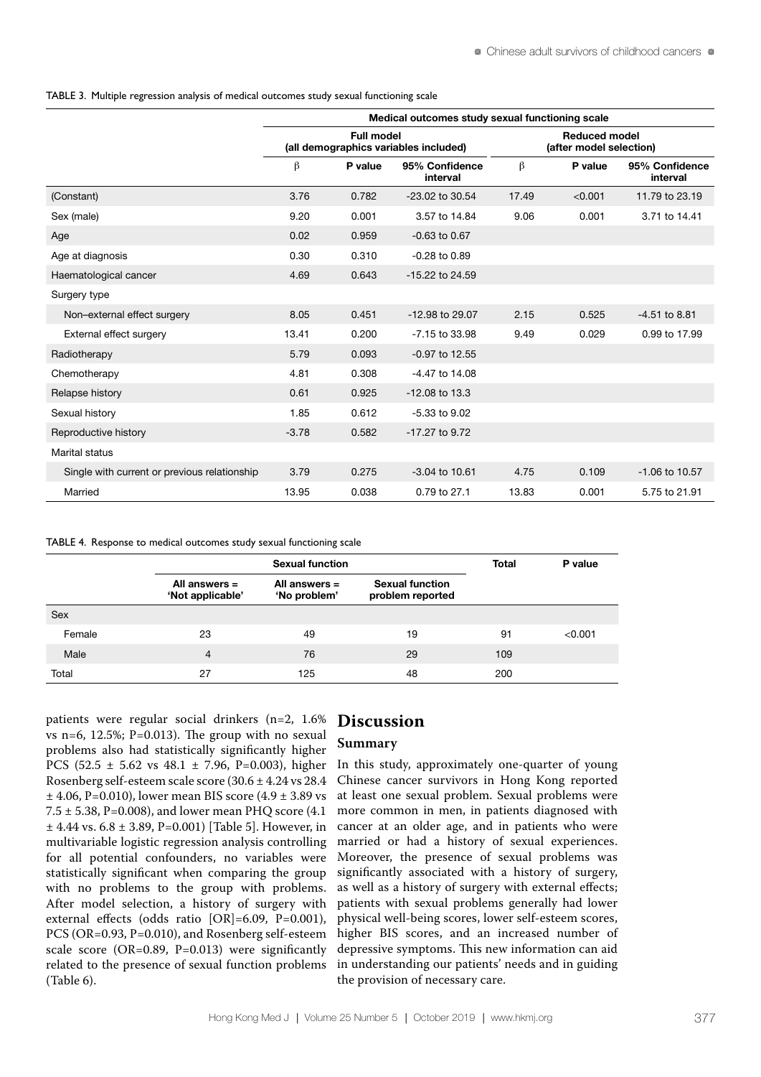TABLE 3. Multiple regression analysis of medical outcomes study sexual functioning scale

|                                              | Medical outcomes study sexual functioning scale |                   |                                       |       |                      |                            |  |
|----------------------------------------------|-------------------------------------------------|-------------------|---------------------------------------|-------|----------------------|----------------------------|--|
|                                              |                                                 | <b>Full model</b> | (all demographics variables included) |       | <b>Reduced model</b> | (after model selection)    |  |
|                                              | β                                               | P value           | 95% Confidence<br>interval            | β     | P value              | 95% Confidence<br>interval |  |
| (Constant)                                   | 3.76                                            | 0.782             | $-23.02$ to $30.54$                   | 17.49 | < 0.001              | 11.79 to 23.19             |  |
| Sex (male)                                   | 9.20                                            | 0.001             | 3.57 to 14.84                         | 9.06  | 0.001                | 3.71 to 14.41              |  |
| Age                                          | 0.02                                            | 0.959             | $-0.63$ to $0.67$                     |       |                      |                            |  |
| Age at diagnosis                             | 0.30                                            | 0.310             | $-0.28$ to $0.89$                     |       |                      |                            |  |
| Haematological cancer                        | 4.69                                            | 0.643             | -15.22 to 24.59                       |       |                      |                            |  |
| Surgery type                                 |                                                 |                   |                                       |       |                      |                            |  |
| Non-external effect surgery                  | 8.05                                            | 0.451             | $-12.98$ to 29.07                     | 2.15  | 0.525                | $-4.51$ to 8.81            |  |
| External effect surgery                      | 13.41                                           | 0.200             | $-7.15$ to 33.98                      | 9.49  | 0.029                | 0.99 to 17.99              |  |
| Radiotherapy                                 | 5.79                                            | 0.093             | $-0.97$ to 12.55                      |       |                      |                            |  |
| Chemotherapy                                 | 4.81                                            | 0.308             | -4.47 to 14.08                        |       |                      |                            |  |
| Relapse history                              | 0.61                                            | 0.925             | $-12.08$ to 13.3                      |       |                      |                            |  |
| Sexual history                               | 1.85                                            | 0.612             | $-5.33$ to $9.02$                     |       |                      |                            |  |
| Reproductive history                         | $-3.78$                                         | 0.582             | -17.27 to 9.72                        |       |                      |                            |  |
| Marital status                               |                                                 |                   |                                       |       |                      |                            |  |
| Single with current or previous relationship | 3.79                                            | 0.275             | $-3.04$ to 10.61                      | 4.75  | 0.109                | -1.06 to 10.57             |  |
| Married                                      | 13.95                                           | 0.038             | 0.79 to 27.1                          | 13.83 | 0.001                | 5.75 to 21.91              |  |

TABLE 4. Response to medical outcomes study sexual functioning scale

|            |                                     | <b>Sexual function</b>          |                                            |     |         |  |
|------------|-------------------------------------|---------------------------------|--------------------------------------------|-----|---------|--|
|            | All answers $=$<br>'Not applicable' | All answers $=$<br>'No problem' | <b>Sexual function</b><br>problem reported |     |         |  |
| <b>Sex</b> |                                     |                                 |                                            |     |         |  |
| Female     | 23                                  | 49                              | 19                                         | 91  | < 0.001 |  |
| Male       | $\overline{4}$                      | 76                              | 29                                         | 109 |         |  |
| Total      | 27                                  | 125                             | 48                                         | 200 |         |  |

patients were regular social drinkers (n=2, 1.6% vs n=6, 12.5%;  $P=0.013$ ). The group with no sexual problems also had statistically significantly higher PCS (52.5 ± 5.62 vs 48.1 ± 7.96, P=0.003), higher Rosenberg self-esteem scale score (30.6 ± 4.24 vs 28.4  $\pm$  4.06, P=0.010), lower mean BIS score (4.9  $\pm$  3.89 vs  $7.5 \pm 5.38$ , P=0.008), and lower mean PHO score (4.1)  $±$  4.44 vs. 6.8  $±$  3.89, P=0.001) [Table 5]. However, in multivariable logistic regression analysis controlling for all potential confounders, no variables were statistically significant when comparing the group with no problems to the group with problems. After model selection, a history of surgery with external effects (odds ratio [OR]=6.09, P=0.001), PCS (OR=0.93, P=0.010), and Rosenberg self-esteem scale score (OR=0.89, P=0.013) were significantly related to the presence of sexual function problems (Table 6).

# **Discussion**

## **Summary**

In this study, approximately one-quarter of young Chinese cancer survivors in Hong Kong reported at least one sexual problem. Sexual problems were more common in men, in patients diagnosed with cancer at an older age, and in patients who were married or had a history of sexual experiences. Moreover, the presence of sexual problems was significantly associated with a history of surgery, as well as a history of surgery with external effects; patients with sexual problems generally had lower physical well-being scores, lower self-esteem scores, higher BIS scores, and an increased number of depressive symptoms. This new information can aid in understanding our patients' needs and in guiding the provision of necessary care.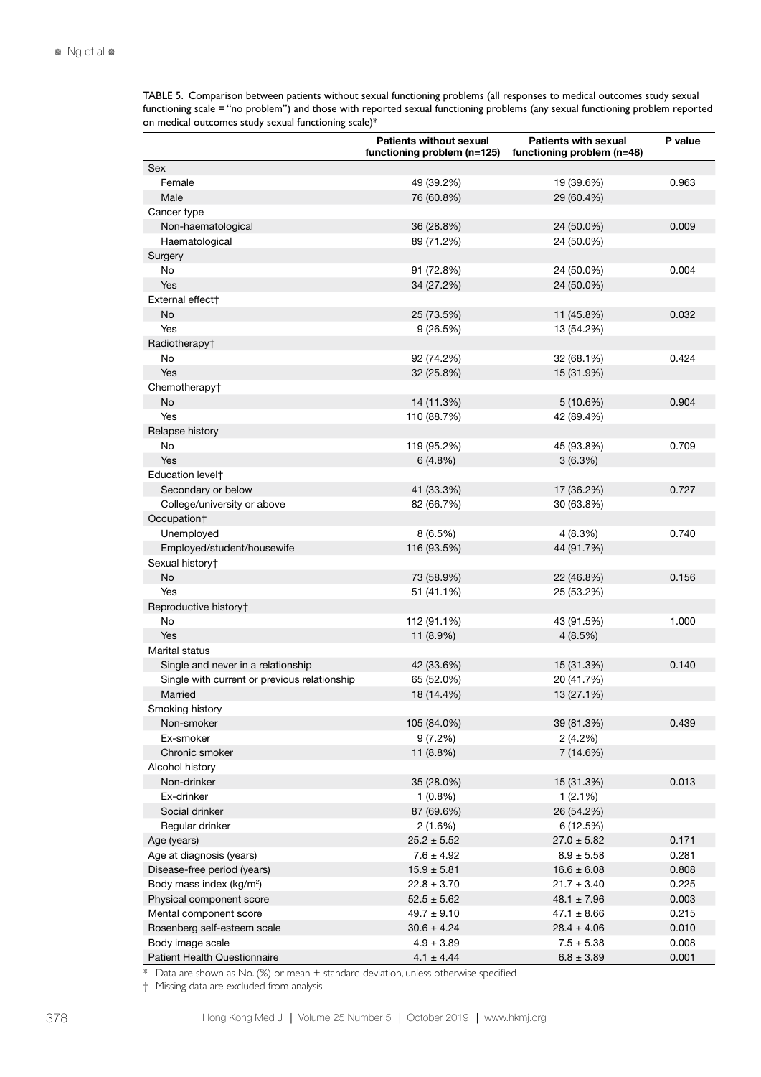TABLE 5. Comparison between patients without sexual functioning problems (all responses to medical outcomes study sexual functioning scale = "no problem") and those with reported sexual functioning problems (any sexual functioning problem reported on medical outcomes study sexual functioning scale)\*

|                                              | <b>Patients without sexual</b><br>functioning problem (n=125) | <b>Patients with sexual</b><br>functioning problem (n=48) | P value |
|----------------------------------------------|---------------------------------------------------------------|-----------------------------------------------------------|---------|
| Sex                                          |                                                               |                                                           |         |
| Female                                       | 49 (39.2%)                                                    | 19 (39.6%)                                                | 0.963   |
| Male                                         | 76 (60.8%)                                                    | 29 (60.4%)                                                |         |
| Cancer type                                  |                                                               |                                                           |         |
| Non-haematological                           | 36 (28.8%)                                                    | 24 (50.0%)                                                | 0.009   |
| Haematological                               | 89 (71.2%)                                                    | 24 (50.0%)                                                |         |
| Surgery                                      |                                                               |                                                           |         |
| No                                           | 91 (72.8%)                                                    | 24 (50.0%)                                                | 0.004   |
| Yes                                          | 34 (27.2%)                                                    | 24 (50.0%)                                                |         |
| External effect†                             |                                                               |                                                           |         |
| No                                           | 25 (73.5%)                                                    | 11 (45.8%)                                                | 0.032   |
| Yes                                          | 9(26.5%)                                                      | 13 (54.2%)                                                |         |
| Radiotherapy <sup>+</sup>                    |                                                               |                                                           |         |
| No                                           | 92 (74.2%)                                                    | 32 (68.1%)                                                | 0.424   |
| Yes                                          | 32 (25.8%)                                                    | 15 (31.9%)                                                |         |
| Chemotherapy <sup>+</sup>                    |                                                               |                                                           |         |
| No.                                          | 14 (11.3%)                                                    | 5(10.6%)                                                  | 0.904   |
| Yes                                          | 110 (88.7%)                                                   | 42 (89.4%)                                                |         |
| Relapse history                              |                                                               |                                                           |         |
| No                                           | 119 (95.2%)                                                   | 45 (93.8%)                                                | 0.709   |
| Yes                                          | 6(4.8%)                                                       | 3(6.3%)                                                   |         |
| Education levelt                             |                                                               |                                                           |         |
| Secondary or below                           | 41 (33.3%)                                                    | 17 (36.2%)                                                | 0.727   |
| College/university or above                  | 82 (66.7%)                                                    | 30 (63.8%)                                                |         |
| Occupation†                                  |                                                               |                                                           |         |
| Unemployed                                   | 8 (6.5%)                                                      | 4(8.3%)                                                   | 0.740   |
| Employed/student/housewife                   | 116 (93.5%)                                                   | 44 (91.7%)                                                |         |
| Sexual history+                              |                                                               |                                                           |         |
| No                                           | 73 (58.9%)                                                    | 22 (46.8%)                                                | 0.156   |
| Yes                                          | 51 (41.1%)                                                    | 25 (53.2%)                                                |         |
| Reproductive history†                        |                                                               |                                                           |         |
| No                                           | 112 (91.1%)                                                   | 43 (91.5%)                                                | 1.000   |
| Yes                                          | 11 (8.9%)                                                     | 4(8.5%)                                                   |         |
| Marital status                               |                                                               |                                                           |         |
| Single and never in a relationship           | 42 (33.6%)                                                    | 15 (31.3%)                                                | 0.140   |
| Single with current or previous relationship | 65 (52.0%)                                                    | 20 (41.7%)                                                |         |
| Married                                      | 18 (14.4%)                                                    | 13 (27.1%)                                                |         |
| Smoking history                              |                                                               |                                                           |         |
| Non-smoker                                   | 105 (84.0%)                                                   | 39 (81.3%)                                                | 0.439   |
| Ex-smoker                                    | 9(7.2%)                                                       | 2(4.2%)                                                   |         |
| Chronic smoker                               | 11 (8.8%)                                                     | 7 (14.6%)                                                 |         |
| Alcohol history                              |                                                               |                                                           |         |
| Non-drinker                                  | 35 (28.0%)                                                    | 15 (31.3%)                                                | 0.013   |
| Ex-drinker                                   | $1(0.8\%)$                                                    | $1(2.1\%)$                                                |         |
| Social drinker                               | 87 (69.6%)                                                    | 26 (54.2%)                                                |         |
| Regular drinker                              | 2(1.6%)                                                       | 6 (12.5%)                                                 |         |
| Age (years)                                  | $25.2 \pm 5.52$                                               | $27.0 \pm 5.82$                                           | 0.171   |
| Age at diagnosis (years)                     | $7.6 \pm 4.92$                                                | $8.9 \pm 5.58$                                            | 0.281   |
| Disease-free period (years)                  | $15.9 \pm 5.81$                                               | $16.6 \pm 6.08$                                           | 0.808   |
| Body mass index (kg/m <sup>2</sup> )         | $22.8 \pm 3.70$                                               | $21.7 \pm 3.40$                                           | 0.225   |
| Physical component score                     | $52.5 \pm 5.62$                                               | $48.1 \pm 7.96$                                           | 0.003   |
| Mental component score                       | $49.7 \pm 9.10$                                               | $47.1 \pm 8.66$                                           | 0.215   |
| Rosenberg self-esteem scale                  | $30.6 \pm 4.24$                                               | $28.4 \pm 4.06$                                           | 0.010   |
| Body image scale                             | $4.9 \pm 3.89$                                                | $7.5 \pm 5.38$                                            | 0.008   |
| Patient Health Questionnaire                 | $4.1 \pm 4.44$                                                | $6.8 \pm 3.89$                                            | 0.001   |

 $*$  Data are shown as No. (%) or mean  $\pm$  standard deviation, unless otherwise specified

† Missing data are excluded from analysis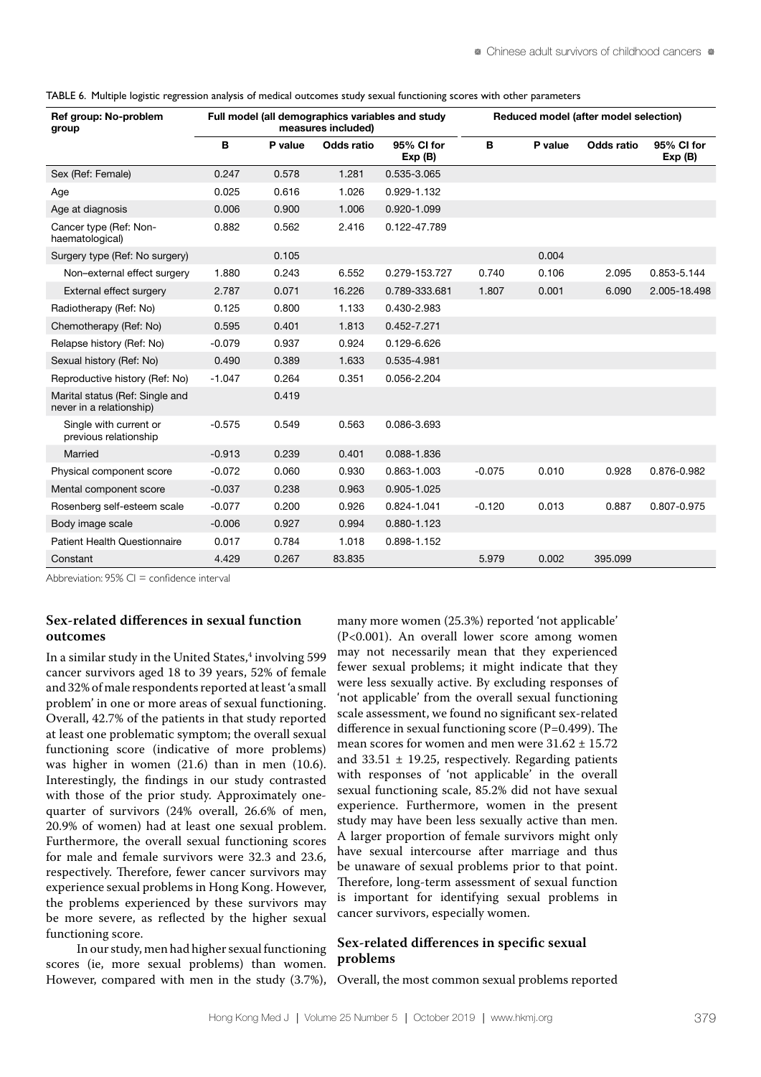|  |  | TABLE 6. Multiple logistic regression analysis of medical outcomes study sexual functioning scores with other parameters |  |  |  |  |  |  |  |
|--|--|--------------------------------------------------------------------------------------------------------------------------|--|--|--|--|--|--|--|
|--|--|--------------------------------------------------------------------------------------------------------------------------|--|--|--|--|--|--|--|

| Ref group: No-problem<br>group                              |          |         | measures included) | Full model (all demographics variables and study |          |         | Reduced model (after model selection) |                      |  |
|-------------------------------------------------------------|----------|---------|--------------------|--------------------------------------------------|----------|---------|---------------------------------------|----------------------|--|
|                                                             | B        | P value | <b>Odds ratio</b>  | 95% CI for<br>Exp(B)                             | В        | P value | <b>Odds ratio</b>                     | 95% CI for<br>Exp(B) |  |
| Sex (Ref: Female)                                           | 0.247    | 0.578   | 1.281              | 0.535-3.065                                      |          |         |                                       |                      |  |
| Age                                                         | 0.025    | 0.616   | 1.026              | 0.929-1.132                                      |          |         |                                       |                      |  |
| Age at diagnosis                                            | 0.006    | 0.900   | 1.006              | 0.920-1.099                                      |          |         |                                       |                      |  |
| Cancer type (Ref: Non-<br>haematological)                   | 0.882    | 0.562   | 2.416              | 0.122-47.789                                     |          |         |                                       |                      |  |
| Surgery type (Ref: No surgery)                              |          | 0.105   |                    |                                                  |          | 0.004   |                                       |                      |  |
| Non-external effect surgery                                 | 1.880    | 0.243   | 6.552              | 0.279-153.727                                    | 0.740    | 0.106   | 2.095                                 | 0.853-5.144          |  |
| External effect surgery                                     | 2.787    | 0.071   | 16.226             | 0.789-333.681                                    | 1.807    | 0.001   | 6.090                                 | 2.005-18.498         |  |
| Radiotherapy (Ref: No)                                      | 0.125    | 0.800   | 1.133              | 0.430-2.983                                      |          |         |                                       |                      |  |
| Chemotherapy (Ref: No)                                      | 0.595    | 0.401   | 1.813              | 0.452-7.271                                      |          |         |                                       |                      |  |
| Relapse history (Ref: No)                                   | $-0.079$ | 0.937   | 0.924              | 0.129-6.626                                      |          |         |                                       |                      |  |
| Sexual history (Ref: No)                                    | 0.490    | 0.389   | 1.633              | 0.535-4.981                                      |          |         |                                       |                      |  |
| Reproductive history (Ref: No)                              | $-1.047$ | 0.264   | 0.351              | 0.056-2.204                                      |          |         |                                       |                      |  |
| Marital status (Ref: Single and<br>never in a relationship) |          | 0.419   |                    |                                                  |          |         |                                       |                      |  |
| Single with current or<br>previous relationship             | $-0.575$ | 0.549   | 0.563              | 0.086-3.693                                      |          |         |                                       |                      |  |
| Married                                                     | $-0.913$ | 0.239   | 0.401              | 0.088-1.836                                      |          |         |                                       |                      |  |
| Physical component score                                    | $-0.072$ | 0.060   | 0.930              | 0.863-1.003                                      | $-0.075$ | 0.010   | 0.928                                 | 0.876-0.982          |  |
| Mental component score                                      | $-0.037$ | 0.238   | 0.963              | 0.905-1.025                                      |          |         |                                       |                      |  |
| Rosenberg self-esteem scale                                 | $-0.077$ | 0.200   | 0.926              | 0.824-1.041                                      | $-0.120$ | 0.013   | 0.887                                 | 0.807-0.975          |  |
| Body image scale                                            | $-0.006$ | 0.927   | 0.994              | 0.880-1.123                                      |          |         |                                       |                      |  |
| <b>Patient Health Questionnaire</b>                         | 0.017    | 0.784   | 1.018              | 0.898-1.152                                      |          |         |                                       |                      |  |
| Constant                                                    | 4.429    | 0.267   | 83.835             |                                                  | 5.979    | 0.002   | 395.099                               |                      |  |

Abbreviation:  $95\%$  CI = confidence interval

# **Sex-related differences in sexual function outcomes**

In a similar study in the United States,<sup>4</sup> involving 599 cancer survivors aged 18 to 39 years, 52% of female and 32% of male respondents reported at least 'a small problem' in one or more areas of sexual functioning. Overall, 42.7% of the patients in that study reported at least one problematic symptom; the overall sexual functioning score (indicative of more problems) was higher in women (21.6) than in men (10.6). Interestingly, the findings in our study contrasted with those of the prior study. Approximately onequarter of survivors (24% overall, 26.6% of men, 20.9% of women) had at least one sexual problem. Furthermore, the overall sexual functioning scores for male and female survivors were 32.3 and 23.6, respectively. Therefore, fewer cancer survivors may experience sexual problems in Hong Kong. However, the problems experienced by these survivors may be more severe, as reflected by the higher sexual functioning score.

In our study, men had higher sexual functioning scores (ie, more sexual problems) than women. However, compared with men in the study (3.7%),

many more women (25.3%) reported 'not applicable' (P<0.001). An overall lower score among women may not necessarily mean that they experienced fewer sexual problems; it might indicate that they were less sexually active. By excluding responses of 'not applicable' from the overall sexual functioning scale assessment, we found no significant sex-related difference in sexual functioning score (P=0.499). The mean scores for women and men were  $31.62 \pm 15.72$ and  $33.51 \pm 19.25$ , respectively. Regarding patients with responses of 'not applicable' in the overall sexual functioning scale, 85.2% did not have sexual experience. Furthermore, women in the present study may have been less sexually active than men. A larger proportion of female survivors might only have sexual intercourse after marriage and thus be unaware of sexual problems prior to that point. Therefore, long-term assessment of sexual function is important for identifying sexual problems in cancer survivors, especially women.

# **Sex-related differences in specific sexual problems**

Overall, the most common sexual problems reported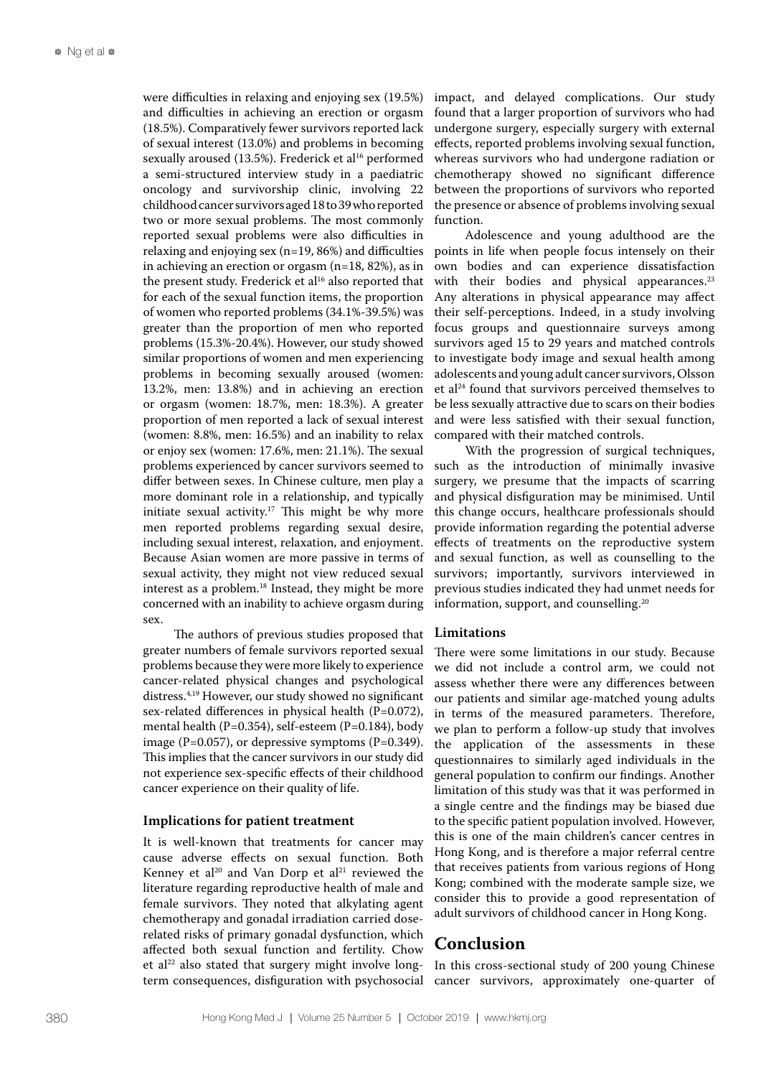were difficulties in relaxing and enjoying sex (19.5%) and difficulties in achieving an erection or orgasm (18.5%). Comparatively fewer survivors reported lack of sexual interest (13.0%) and problems in becoming sexually aroused (13.5%). Frederick et al<sup>16</sup> performed a semi-structured interview study in a paediatric oncology and survivorship clinic, involving 22 childhood cancer survivors aged 18 to 39 who reported two or more sexual problems. The most commonly reported sexual problems were also difficulties in relaxing and enjoying sex  $(n=19, 86%)$  and difficulties in achieving an erection or orgasm (n=18, 82%), as in the present study. Frederick et al<sup>16</sup> also reported that for each of the sexual function items, the proportion of women who reported problems (34.1%-39.5%) was greater than the proportion of men who reported problems (15.3%-20.4%). However, our study showed similar proportions of women and men experiencing problems in becoming sexually aroused (women: 13.2%, men: 13.8%) and in achieving an erection or orgasm (women: 18.7%, men: 18.3%). A greater proportion of men reported a lack of sexual interest (women: 8.8%, men: 16.5%) and an inability to relax or enjoy sex (women: 17.6%, men: 21.1%). The sexual problems experienced by cancer survivors seemed to differ between sexes. In Chinese culture, men play a more dominant role in a relationship, and typically initiate sexual activity.<sup>17</sup> This might be why more men reported problems regarding sexual desire, including sexual interest, relaxation, and enjoyment. Because Asian women are more passive in terms of sexual activity, they might not view reduced sexual interest as a problem.<sup>18</sup> Instead, they might be more concerned with an inability to achieve orgasm during sex.

The authors of previous studies proposed that greater numbers of female survivors reported sexual problems because they were more likely to experience cancer-related physical changes and psychological distress.4,19 However, our study showed no significant sex-related differences in physical health (P=0.072), mental health (P=0.354), self-esteem (P=0.184), body image (P=0.057), or depressive symptoms (P=0.349). This implies that the cancer survivors in our study did not experience sex-specific effects of their childhood cancer experience on their quality of life.

#### **Implications for patient treatment**

It is well-known that treatments for cancer may cause adverse effects on sexual function. Both Kenney et al<sup>20</sup> and Van Dorp et al<sup>21</sup> reviewed the literature regarding reproductive health of male and female survivors. They noted that alkylating agent chemotherapy and gonadal irradiation carried doserelated risks of primary gonadal dysfunction, which affected both sexual function and fertility. Chow et al<sup>22</sup> also stated that surgery might involve longterm consequences, disfiguration with psychosocial

impact, and delayed complications. Our study found that a larger proportion of survivors who had undergone surgery, especially surgery with external effects, reported problems involving sexual function, whereas survivors who had undergone radiation or chemotherapy showed no significant difference between the proportions of survivors who reported the presence or absence of problems involving sexual function.

Adolescence and young adulthood are the points in life when people focus intensely on their own bodies and can experience dissatisfaction with their bodies and physical appearances.<sup>23</sup> Any alterations in physical appearance may affect their self-perceptions. Indeed, in a study involving focus groups and questionnaire surveys among survivors aged 15 to 29 years and matched controls to investigate body image and sexual health among adolescents and young adult cancer survivors, Olsson et al<sup>24</sup> found that survivors perceived themselves to be less sexually attractive due to scars on their bodies and were less satisfied with their sexual function, compared with their matched controls.

With the progression of surgical techniques, such as the introduction of minimally invasive surgery, we presume that the impacts of scarring and physical disfiguration may be minimised. Until this change occurs, healthcare professionals should provide information regarding the potential adverse effects of treatments on the reproductive system and sexual function, as well as counselling to the survivors; importantly, survivors interviewed in previous studies indicated they had unmet needs for information, support, and counselling.20

#### **Limitations**

There were some limitations in our study. Because we did not include a control arm, we could not assess whether there were any differences between our patients and similar age-matched young adults in terms of the measured parameters. Therefore, we plan to perform a follow-up study that involves the application of the assessments in these questionnaires to similarly aged individuals in the general population to confirm our findings. Another limitation of this study was that it was performed in a single centre and the findings may be biased due to the specific patient population involved. However, this is one of the main children's cancer centres in Hong Kong, and is therefore a major referral centre that receives patients from various regions of Hong Kong; combined with the moderate sample size, we consider this to provide a good representation of adult survivors of childhood cancer in Hong Kong.

# **Conclusion**

In this cross-sectional study of 200 young Chinese cancer survivors, approximately one-quarter of